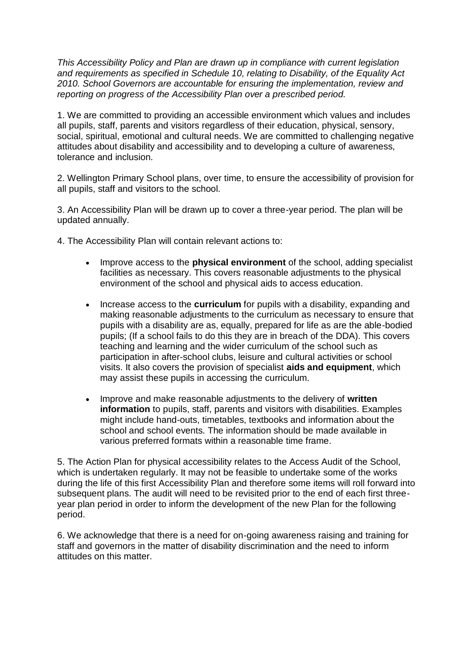*This Accessibility Policy and Plan are drawn up in compliance with current legislation and requirements as specified in Schedule 10, relating to Disability, of the Equality Act 2010. School Governors are accountable for ensuring the implementation, review and reporting on progress of the Accessibility Plan over a prescribed period.* 

1. We are committed to providing an accessible environment which values and includes all pupils, staff, parents and visitors regardless of their education, physical, sensory, social, spiritual, emotional and cultural needs. We are committed to challenging negative attitudes about disability and accessibility and to developing a culture of awareness, tolerance and inclusion.

2. Wellington Primary School plans, over time, to ensure the accessibility of provision for all pupils, staff and visitors to the school.

3. An Accessibility Plan will be drawn up to cover a three-year period. The plan will be updated annually.

4. The Accessibility Plan will contain relevant actions to:

- Improve access to the **physical environment** of the school, adding specialist facilities as necessary. This covers reasonable adjustments to the physical environment of the school and physical aids to access education.
- Increase access to the **curriculum** for pupils with a disability, expanding and making reasonable adjustments to the curriculum as necessary to ensure that pupils with a disability are as, equally, prepared for life as are the able-bodied pupils; (If a school fails to do this they are in breach of the DDA). This covers teaching and learning and the wider curriculum of the school such as participation in after-school clubs, leisure and cultural activities or school visits. It also covers the provision of specialist **aids and equipment**, which may assist these pupils in accessing the curriculum.
- Improve and make reasonable adjustments to the delivery of **written information** to pupils, staff, parents and visitors with disabilities. Examples might include hand-outs, timetables, textbooks and information about the school and school events. The information should be made available in various preferred formats within a reasonable time frame.

5. The Action Plan for physical accessibility relates to the Access Audit of the School, which is undertaken regularly. It may not be feasible to undertake some of the works during the life of this first Accessibility Plan and therefore some items will roll forward into subsequent plans. The audit will need to be revisited prior to the end of each first threeyear plan period in order to inform the development of the new Plan for the following period.

6. We acknowledge that there is a need for on-going awareness raising and training for staff and governors in the matter of disability discrimination and the need to inform attitudes on this matter.